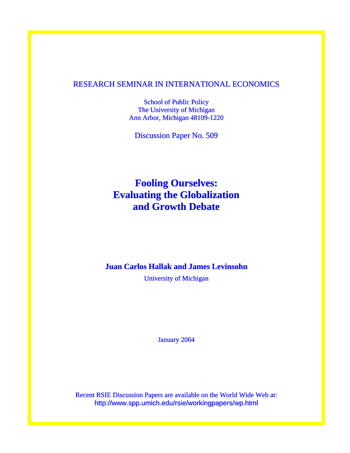## RESEARCH SEMINAR IN INTERNATIONAL ECONOMICS

School of Public Policy The University of Michigan Ann Arbor, Michigan 48109-1220

Discussion Paper No. 509

# **Fooling Ourselves: Evaluating the Globalization and Growth Debate**

### **Juan Carlos Hallak and James Levinsohn**

University of Michigan

January 2004

Recent RSIE Discussion Papers are available on the World Wide Web at: http://www.spp.umich.edu/rsie/workingpapers/wp.html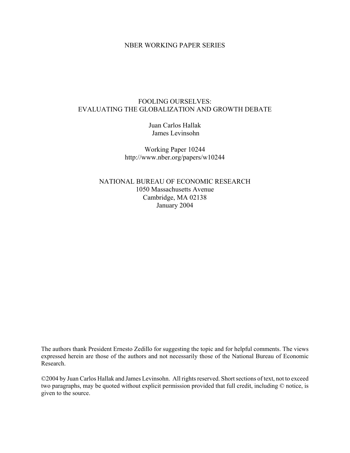#### NBER WORKING PAPER SERIES

#### FOOLING OURSELVES: EVALUATING THE GLOBALIZATION AND GROWTH DEBATE

Juan Carlos Hallak James Levinsohn

Working Paper 10244 http://www.nber.org/papers/w10244

NATIONAL BUREAU OF ECONOMIC RESEARCH 1050 Massachusetts Avenue Cambridge, MA 02138 January 2004

The authors thank President Ernesto Zedillo for suggesting the topic and for helpful comments. The views expressed herein are those of the authors and not necessarily those of the National Bureau of Economic Research.

©2004 by Juan Carlos Hallak and James Levinsohn. All rights reserved. Short sections of text, not to exceed two paragraphs, may be quoted without explicit permission provided that full credit, including © notice, is given to the source.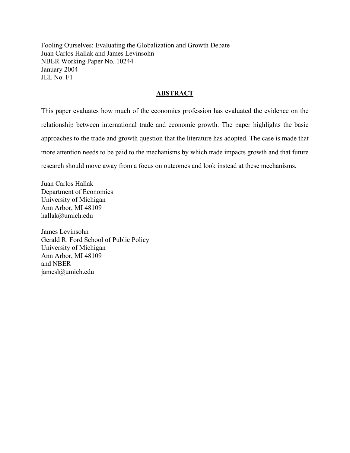Fooling Ourselves: Evaluating the Globalization and Growth Debate Juan Carlos Hallak and James Levinsohn NBER Working Paper No. 10244 January 2004 JEL No. F1

#### **ABSTRACT**

This paper evaluates how much of the economics profession has evaluated the evidence on the relationship between international trade and economic growth. The paper highlights the basic approaches to the trade and growth question that the literature has adopted. The case is made that more attention needs to be paid to the mechanisms by which trade impacts growth and that future research should move away from a focus on outcomes and look instead at these mechanisms.

Juan Carlos Hallak Department of Economics University of Michigan Ann Arbor, MI 48109 hallak@umich.edu

James Levinsohn Gerald R. Ford School of Public Policy University of Michigan Ann Arbor, MI 48109 and NBER jamesl@umich.edu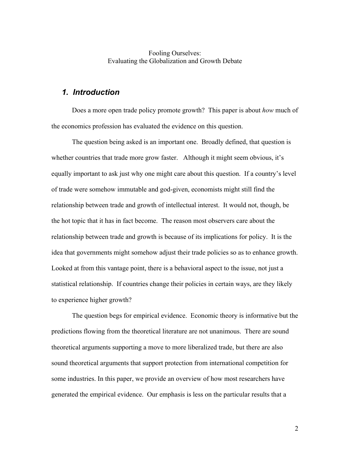#### Fooling Ourselves: Evaluating the Globalization and Growth Debate

# *1. Introduction*

Does a more open trade policy promote growth? This paper is about *how* much of the economics profession has evaluated the evidence on this question.

The question being asked is an important one. Broadly defined, that question is whether countries that trade more grow faster. Although it might seem obvious, it's equally important to ask just why one might care about this question. If a country's level of trade were somehow immutable and god-given, economists might still find the relationship between trade and growth of intellectual interest. It would not, though, be the hot topic that it has in fact become. The reason most observers care about the relationship between trade and growth is because of its implications for policy. It is the idea that governments might somehow adjust their trade policies so as to enhance growth. Looked at from this vantage point, there is a behavioral aspect to the issue, not just a statistical relationship. If countries change their policies in certain ways, are they likely to experience higher growth?

The question begs for empirical evidence. Economic theory is informative but the predictions flowing from the theoretical literature are not unanimous. There are sound theoretical arguments supporting a move to more liberalized trade, but there are also sound theoretical arguments that support protection from international competition for some industries. In this paper, we provide an overview of how most researchers have generated the empirical evidence. Our emphasis is less on the particular results that a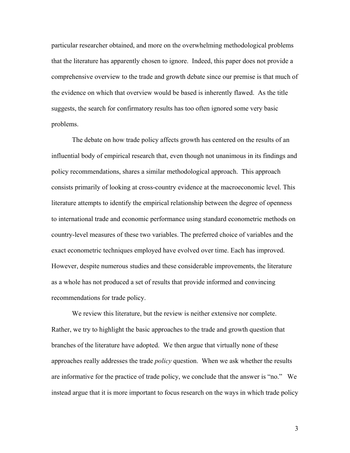particular researcher obtained, and more on the overwhelming methodological problems that the literature has apparently chosen to ignore. Indeed, this paper does not provide a comprehensive overview to the trade and growth debate since our premise is that much of the evidence on which that overview would be based is inherently flawed. As the title suggests, the search for confirmatory results has too often ignored some very basic problems.

The debate on how trade policy affects growth has centered on the results of an influential body of empirical research that, even though not unanimous in its findings and policy recommendations, shares a similar methodological approach. This approach consists primarily of looking at cross-country evidence at the macroeconomic level. This literature attempts to identify the empirical relationship between the degree of openness to international trade and economic performance using standard econometric methods on country-level measures of these two variables. The preferred choice of variables and the exact econometric techniques employed have evolved over time. Each has improved. However, despite numerous studies and these considerable improvements, the literature as a whole has not produced a set of results that provide informed and convincing recommendations for trade policy.

We review this literature, but the review is neither extensive nor complete. Rather, we try to highlight the basic approaches to the trade and growth question that branches of the literature have adopted. We then argue that virtually none of these approaches really addresses the trade *policy* question. When we ask whether the results are informative for the practice of trade policy, we conclude that the answer is "no." We instead argue that it is more important to focus research on the ways in which trade policy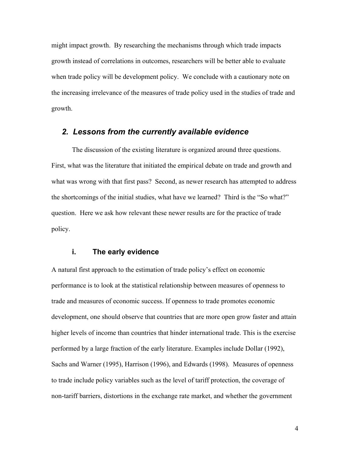might impact growth. By researching the mechanisms through which trade impacts growth instead of correlations in outcomes, researchers will be better able to evaluate when trade policy will be development policy. We conclude with a cautionary note on the increasing irrelevance of the measures of trade policy used in the studies of trade and growth.

# *2. Lessons from the currently available evidence*

The discussion of the existing literature is organized around three questions. First, what was the literature that initiated the empirical debate on trade and growth and what was wrong with that first pass? Second, as newer research has attempted to address the shortcomings of the initial studies, what have we learned? Third is the "So what?" question. Here we ask how relevant these newer results are for the practice of trade policy.

#### **i. The early evidence**

A natural first approach to the estimation of trade policy's effect on economic performance is to look at the statistical relationship between measures of openness to trade and measures of economic success. If openness to trade promotes economic development, one should observe that countries that are more open grow faster and attain higher levels of income than countries that hinder international trade. This is the exercise performed by a large fraction of the early literature. Examples include Dollar (1992), Sachs and Warner (1995), Harrison (1996), and Edwards (1998). Measures of openness to trade include policy variables such as the level of tariff protection, the coverage of non-tariff barriers, distortions in the exchange rate market, and whether the government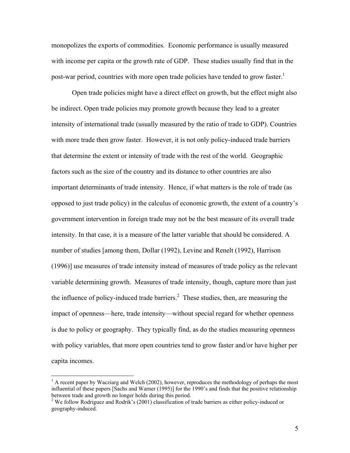monopolizes the exports of commodities. Economic performance is usually measured with income per capita or the growth rate of GDP. These studies usually find that in the post-war period, countries with more open trade policies have tended to grow faster.<sup>1</sup>

 Open trade policies might have a direct effect on growth, but the effect might also be indirect. Open trade policies may promote growth because they lead to a greater intensity of international trade (usually measured by the ratio of trade to GDP). Countries with more trade then grow faster. However, it is not only policy-induced trade barriers that determine the extent or intensity of trade with the rest of the world. Geographic factors such as the size of the country and its distance to other countries are also important determinants of trade intensity. Hence, if what matters is the role of trade (as opposed to just trade policy) in the calculus of economic growth, the extent of a country's government intervention in foreign trade may not be the best measure of its overall trade intensity. In that case, it is a measure of the latter variable that should be considered. A number of studies [among them, Dollar (1992), Levine and Renelt (1992), Harrison (1996)] use measures of trade intensity instead of measures of trade policy as the relevant variable determining growth. Measures of trade intensity, though, capture more than just the influence of policy-induced trade barriers.<sup>2</sup> These studies, then, are measuring the impact of openness—here, trade intensity—without special regard for whether openness is due to policy or geography. They typically find, as do the studies measuring openness with policy variables, that more open countries tend to grow faster and/or have higher per capita incomes.

 $\overline{a}$ 

<sup>&</sup>lt;sup>1</sup> A recent paper by Wacziarg and Welch (2002), however, reproduces the methodology of perhaps the most influential of these papers [Sachs and Warner (1995)] for the 1990's and finds that the positive relationship between trade and growth no longer holds during this period.

<sup>&</sup>lt;sup>2</sup> We follow Rodriguez and Rodrik's (2001) classification of trade barriers as either policy-induced or geography-induced.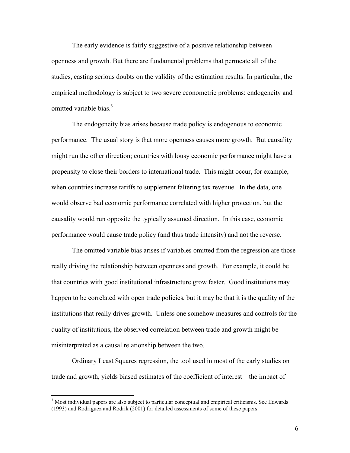The early evidence is fairly suggestive of a positive relationship between openness and growth. But there are fundamental problems that permeate all of the studies, casting serious doubts on the validity of the estimation results. In particular, the empirical methodology is subject to two severe econometric problems: endogeneity and omitted variable bias.<sup>3</sup>

The endogeneity bias arises because trade policy is endogenous to economic performance. The usual story is that more openness causes more growth. But causality might run the other direction; countries with lousy economic performance might have a propensity to close their borders to international trade. This might occur, for example, when countries increase tariffs to supplement faltering tax revenue. In the data, one would observe bad economic performance correlated with higher protection, but the causality would run opposite the typically assumed direction. In this case, economic performance would cause trade policy (and thus trade intensity) and not the reverse.

 The omitted variable bias arises if variables omitted from the regression are those really driving the relationship between openness and growth. For example, it could be that countries with good institutional infrastructure grow faster. Good institutions may happen to be correlated with open trade policies, but it may be that it is the quality of the institutions that really drives growth. Unless one somehow measures and controls for the quality of institutions, the observed correlation between trade and growth might be misinterpreted as a causal relationship between the two.

 Ordinary Least Squares regression, the tool used in most of the early studies on trade and growth, yields biased estimates of the coefficient of interest—the impact of

 $\overline{a}$ 

<sup>&</sup>lt;sup>3</sup> Most individual papers are also subject to particular conceptual and empirical criticisms. See Edwards (1993) and Rodriguez and Rodrik (2001) for detailed assessments of some of these papers.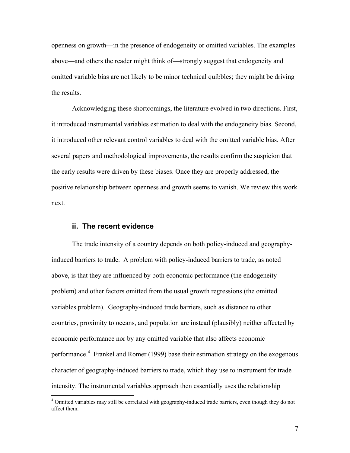openness on growth—in the presence of endogeneity or omitted variables. The examples above—and others the reader might think of—strongly suggest that endogeneity and omitted variable bias are not likely to be minor technical quibbles; they might be driving the results.

Acknowledging these shortcomings, the literature evolved in two directions. First, it introduced instrumental variables estimation to deal with the endogeneity bias. Second, it introduced other relevant control variables to deal with the omitted variable bias. After several papers and methodological improvements, the results confirm the suspicion that the early results were driven by these biases. Once they are properly addressed, the positive relationship between openness and growth seems to vanish. We review this work next.

#### **ii. The recent evidence**

 $\overline{a}$ 

The trade intensity of a country depends on both policy-induced and geographyinduced barriers to trade. A problem with policy-induced barriers to trade, as noted above, is that they are influenced by both economic performance (the endogeneity problem) and other factors omitted from the usual growth regressions (the omitted variables problem). Geography-induced trade barriers, such as distance to other countries, proximity to oceans, and population are instead (plausibly) neither affected by economic performance nor by any omitted variable that also affects economic performance.<sup>4</sup> Frankel and Romer (1999) base their estimation strategy on the exogenous character of geography-induced barriers to trade, which they use to instrument for trade intensity. The instrumental variables approach then essentially uses the relationship

<sup>&</sup>lt;sup>4</sup> Omitted variables may still be correlated with geography-induced trade barriers, even though they do not affect them.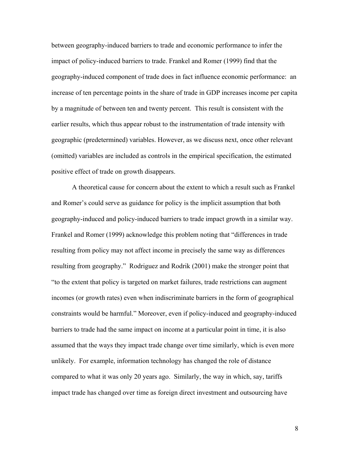between geography-induced barriers to trade and economic performance to infer the impact of policy-induced barriers to trade. Frankel and Romer (1999) find that the geography-induced component of trade does in fact influence economic performance: an increase of ten percentage points in the share of trade in GDP increases income per capita by a magnitude of between ten and twenty percent. This result is consistent with the earlier results, which thus appear robust to the instrumentation of trade intensity with geographic (predetermined) variables. However, as we discuss next, once other relevant (omitted) variables are included as controls in the empirical specification, the estimated positive effect of trade on growth disappears.

A theoretical cause for concern about the extent to which a result such as Frankel and Romer's could serve as guidance for policy is the implicit assumption that both geography-induced and policy-induced barriers to trade impact growth in a similar way. Frankel and Romer (1999) acknowledge this problem noting that "differences in trade resulting from policy may not affect income in precisely the same way as differences resulting from geography." Rodriguez and Rodrik (2001) make the stronger point that "to the extent that policy is targeted on market failures, trade restrictions can augment incomes (or growth rates) even when indiscriminate barriers in the form of geographical constraints would be harmful." Moreover, even if policy-induced and geography-induced barriers to trade had the same impact on income at a particular point in time, it is also assumed that the ways they impact trade change over time similarly, which is even more unlikely. For example, information technology has changed the role of distance compared to what it was only 20 years ago. Similarly, the way in which, say, tariffs impact trade has changed over time as foreign direct investment and outsourcing have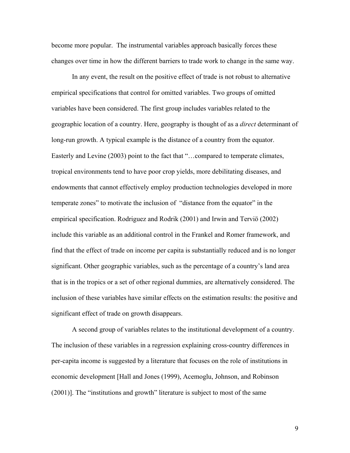become more popular. The instrumental variables approach basically forces these changes over time in how the different barriers to trade work to change in the same way.

 In any event, the result on the positive effect of trade is not robust to alternative empirical specifications that control for omitted variables. Two groups of omitted variables have been considered. The first group includes variables related to the geographic location of a country. Here, geography is thought of as a *direct* determinant of long-run growth. A typical example is the distance of a country from the equator. Easterly and Levine (2003) point to the fact that "…compared to temperate climates, tropical environments tend to have poor crop yields, more debilitating diseases, and endowments that cannot effectively employ production technologies developed in more temperate zones" to motivate the inclusion of "distance from the equator" in the empirical specification. Rodriguez and Rodrik (2001) and Irwin and Terviö (2002) include this variable as an additional control in the Frankel and Romer framework, and find that the effect of trade on income per capita is substantially reduced and is no longer significant. Other geographic variables, such as the percentage of a country's land area that is in the tropics or a set of other regional dummies, are alternatively considered. The inclusion of these variables have similar effects on the estimation results: the positive and significant effect of trade on growth disappears.

A second group of variables relates to the institutional development of a country. The inclusion of these variables in a regression explaining cross-country differences in per-capita income is suggested by a literature that focuses on the role of institutions in economic development [Hall and Jones (1999), Acemoglu, Johnson, and Robinson (2001)]. The "institutions and growth" literature is subject to most of the same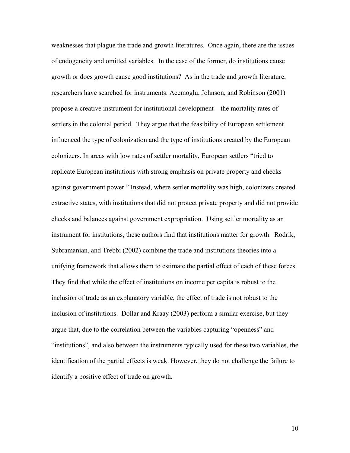weaknesses that plague the trade and growth literatures. Once again, there are the issues of endogeneity and omitted variables. In the case of the former, do institutions cause growth or does growth cause good institutions? As in the trade and growth literature, researchers have searched for instruments. Acemoglu, Johnson, and Robinson (2001) propose a creative instrument for institutional development—the mortality rates of settlers in the colonial period. They argue that the feasibility of European settlement influenced the type of colonization and the type of institutions created by the European colonizers. In areas with low rates of settler mortality, European settlers "tried to replicate European institutions with strong emphasis on private property and checks against government power." Instead, where settler mortality was high, colonizers created extractive states, with institutions that did not protect private property and did not provide checks and balances against government expropriation. Using settler mortality as an instrument for institutions, these authors find that institutions matter for growth. Rodrik, Subramanian, and Trebbi (2002) combine the trade and institutions theories into a unifying framework that allows them to estimate the partial effect of each of these forces. They find that while the effect of institutions on income per capita is robust to the inclusion of trade as an explanatory variable, the effect of trade is not robust to the inclusion of institutions. Dollar and Kraay (2003) perform a similar exercise, but they argue that, due to the correlation between the variables capturing "openness" and "institutions", and also between the instruments typically used for these two variables, the identification of the partial effects is weak. However, they do not challenge the failure to identify a positive effect of trade on growth.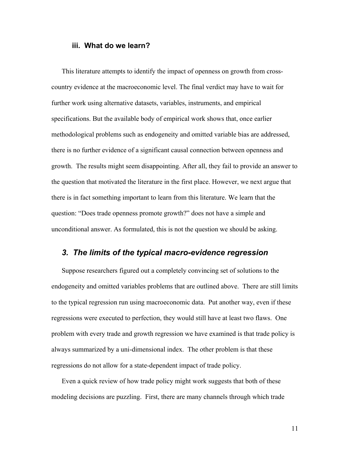#### **iii. What do we learn?**

This literature attempts to identify the impact of openness on growth from crosscountry evidence at the macroeconomic level. The final verdict may have to wait for further work using alternative datasets, variables, instruments, and empirical specifications. But the available body of empirical work shows that, once earlier methodological problems such as endogeneity and omitted variable bias are addressed, there is no further evidence of a significant causal connection between openness and growth. The results might seem disappointing. After all, they fail to provide an answer to the question that motivated the literature in the first place. However, we next argue that there is in fact something important to learn from this literature. We learn that the question: "Does trade openness promote growth?" does not have a simple and unconditional answer. As formulated, this is not the question we should be asking.

# *3. The limits of the typical macro-evidence regression*

Suppose researchers figured out a completely convincing set of solutions to the endogeneity and omitted variables problems that are outlined above. There are still limits to the typical regression run using macroeconomic data. Put another way, even if these regressions were executed to perfection, they would still have at least two flaws. One problem with every trade and growth regression we have examined is that trade policy is always summarized by a uni-dimensional index. The other problem is that these regressions do not allow for a state-dependent impact of trade policy.

Even a quick review of how trade policy might work suggests that both of these modeling decisions are puzzling. First, there are many channels through which trade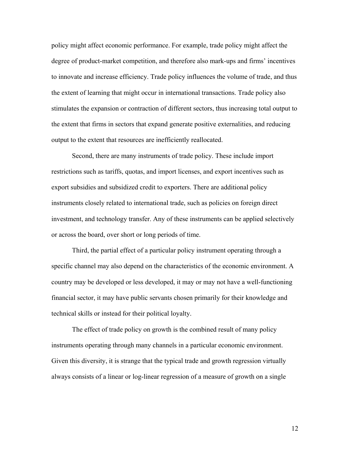policy might affect economic performance. For example, trade policy might affect the degree of product-market competition, and therefore also mark-ups and firms' incentives to innovate and increase efficiency. Trade policy influences the volume of trade, and thus the extent of learning that might occur in international transactions. Trade policy also stimulates the expansion or contraction of different sectors, thus increasing total output to the extent that firms in sectors that expand generate positive externalities, and reducing output to the extent that resources are inefficiently reallocated.

Second, there are many instruments of trade policy. These include import restrictions such as tariffs, quotas, and import licenses, and export incentives such as export subsidies and subsidized credit to exporters. There are additional policy instruments closely related to international trade, such as policies on foreign direct investment, and technology transfer. Any of these instruments can be applied selectively or across the board, over short or long periods of time.

Third, the partial effect of a particular policy instrument operating through a specific channel may also depend on the characteristics of the economic environment. A country may be developed or less developed, it may or may not have a well-functioning financial sector, it may have public servants chosen primarily for their knowledge and technical skills or instead for their political loyalty.

The effect of trade policy on growth is the combined result of many policy instruments operating through many channels in a particular economic environment. Given this diversity, it is strange that the typical trade and growth regression virtually always consists of a linear or log-linear regression of a measure of growth on a single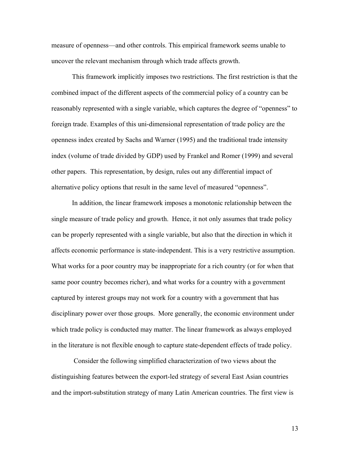measure of openness—and other controls. This empirical framework seems unable to uncover the relevant mechanism through which trade affects growth.

This framework implicitly imposes two restrictions. The first restriction is that the combined impact of the different aspects of the commercial policy of a country can be reasonably represented with a single variable, which captures the degree of "openness" to foreign trade. Examples of this uni-dimensional representation of trade policy are the openness index created by Sachs and Warner (1995) and the traditional trade intensity index (volume of trade divided by GDP) used by Frankel and Romer (1999) and several other papers. This representation, by design, rules out any differential impact of alternative policy options that result in the same level of measured "openness".

In addition, the linear framework imposes a monotonic relationship between the single measure of trade policy and growth. Hence, it not only assumes that trade policy can be properly represented with a single variable, but also that the direction in which it affects economic performance is state-independent. This is a very restrictive assumption. What works for a poor country may be inappropriate for a rich country (or for when that same poor country becomes richer), and what works for a country with a government captured by interest groups may not work for a country with a government that has disciplinary power over those groups. More generally, the economic environment under which trade policy is conducted may matter. The linear framework as always employed in the literature is not flexible enough to capture state-dependent effects of trade policy.

 Consider the following simplified characterization of two views about the distinguishing features between the export-led strategy of several East Asian countries and the import-substitution strategy of many Latin American countries. The first view is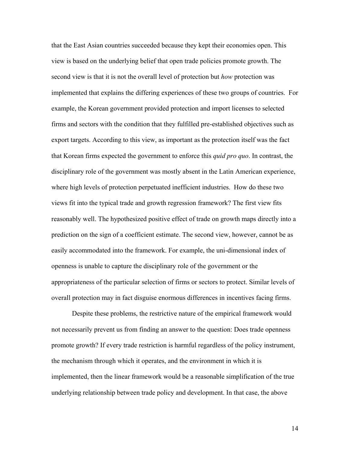that the East Asian countries succeeded because they kept their economies open. This view is based on the underlying belief that open trade policies promote growth. The second view is that it is not the overall level of protection but *how* protection was implemented that explains the differing experiences of these two groups of countries. For example, the Korean government provided protection and import licenses to selected firms and sectors with the condition that they fulfilled pre-established objectives such as export targets. According to this view, as important as the protection itself was the fact that Korean firms expected the government to enforce this *quid pro quo*. In contrast, the disciplinary role of the government was mostly absent in the Latin American experience, where high levels of protection perpetuated inefficient industries. How do these two views fit into the typical trade and growth regression framework? The first view fits reasonably well. The hypothesized positive effect of trade on growth maps directly into a prediction on the sign of a coefficient estimate. The second view, however, cannot be as easily accommodated into the framework. For example, the uni-dimensional index of openness is unable to capture the disciplinary role of the government or the appropriateness of the particular selection of firms or sectors to protect. Similar levels of overall protection may in fact disguise enormous differences in incentives facing firms.

Despite these problems, the restrictive nature of the empirical framework would not necessarily prevent us from finding an answer to the question: Does trade openness promote growth? If every trade restriction is harmful regardless of the policy instrument, the mechanism through which it operates, and the environment in which it is implemented, then the linear framework would be a reasonable simplification of the true underlying relationship between trade policy and development. In that case, the above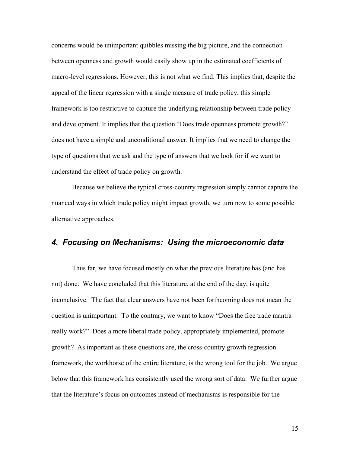concerns would be unimportant quibbles missing the big picture, and the connection between openness and growth would easily show up in the estimated coefficients of macro-level regressions. However, this is not what we find. This implies that, despite the appeal of the linear regression with a single measure of trade policy, this simple framework is too restrictive to capture the underlying relationship between trade policy and development. It implies that the question "Does trade openness promote growth?" does not have a simple and unconditional answer. It implies that we need to change the type of questions that we ask and the type of answers that we look for if we want to understand the effect of trade policy on growth.

Because we believe the typical cross-country regression simply cannot capture the nuanced ways in which trade policy might impact growth, we turn now to some possible alternative approaches.

## *4. Focusing on Mechanisms: Using the microeconomic data*

 Thus far, we have focused mostly on what the previous literature has (and has not) done. We have concluded that this literature, at the end of the day, is quite inconclusive. The fact that clear answers have not been forthcoming does not mean the question is unimportant. To the contrary, we want to know "Does the free trade mantra really work?" Does a more liberal trade policy, appropriately implemented, promote growth? As important as these questions are, the cross-country growth regression framework, the workhorse of the entire literature, is the wrong tool for the job. We argue below that this framework has consistently used the wrong sort of data. We further argue that the literature's focus on outcomes instead of mechanisms is responsible for the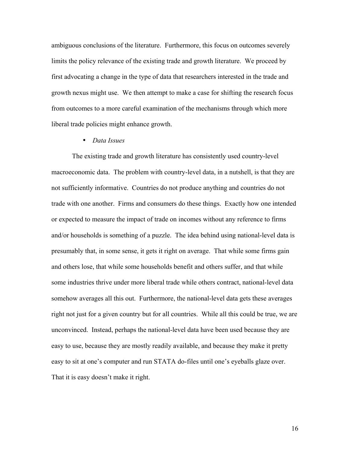ambiguous conclusions of the literature. Furthermore, this focus on outcomes severely limits the policy relevance of the existing trade and growth literature. We proceed by first advocating a change in the type of data that researchers interested in the trade and growth nexus might use. We then attempt to make a case for shifting the research focus from outcomes to a more careful examination of the mechanisms through which more liberal trade policies might enhance growth.

#### • *Data Issues*

The existing trade and growth literature has consistently used country-level macroeconomic data. The problem with country-level data, in a nutshell, is that they are not sufficiently informative. Countries do not produce anything and countries do not trade with one another. Firms and consumers do these things. Exactly how one intended or expected to measure the impact of trade on incomes without any reference to firms and/or households is something of a puzzle. The idea behind using national-level data is presumably that, in some sense, it gets it right on average. That while some firms gain and others lose, that while some households benefit and others suffer, and that while some industries thrive under more liberal trade while others contract, national-level data somehow averages all this out. Furthermore, the national-level data gets these averages right not just for a given country but for all countries. While all this could be true, we are unconvinced. Instead, perhaps the national-level data have been used because they are easy to use, because they are mostly readily available, and because they make it pretty easy to sit at one's computer and run STATA do-files until one's eyeballs glaze over. That it is easy doesn't make it right.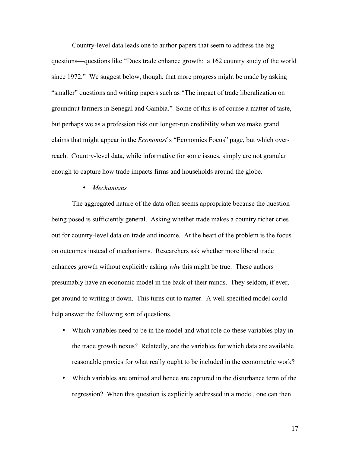Country-level data leads one to author papers that seem to address the big questions—questions like "Does trade enhance growth: a 162 country study of the world since 1972." We suggest below, though, that more progress might be made by asking "smaller" questions and writing papers such as "The impact of trade liberalization on groundnut farmers in Senegal and Gambia." Some of this is of course a matter of taste, but perhaps we as a profession risk our longer-run credibility when we make grand claims that might appear in the *Economist*'s "Economics Focus" page, but which overreach. Country-level data, while informative for some issues, simply are not granular enough to capture how trade impacts firms and households around the globe.

#### • *Mechanisms*

The aggregated nature of the data often seems appropriate because the question being posed is sufficiently general. Asking whether trade makes a country richer cries out for country-level data on trade and income. At the heart of the problem is the focus on outcomes instead of mechanisms. Researchers ask whether more liberal trade enhances growth without explicitly asking *why* this might be true. These authors presumably have an economic model in the back of their minds. They seldom, if ever, get around to writing it down. This turns out to matter. A well specified model could help answer the following sort of questions.

- Which variables need to be in the model and what role do these variables play in the trade growth nexus? Relatedly, are the variables for which data are available reasonable proxies for what really ought to be included in the econometric work?
- Which variables are omitted and hence are captured in the disturbance term of the regression? When this question is explicitly addressed in a model, one can then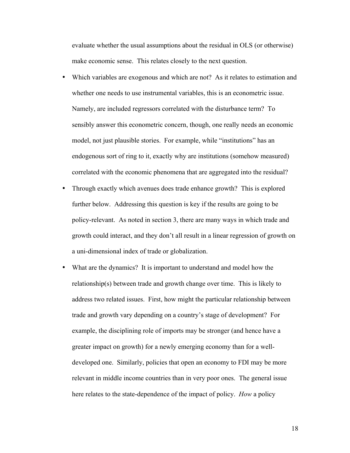evaluate whether the usual assumptions about the residual in OLS (or otherwise) make economic sense. This relates closely to the next question.

- Which variables are exogenous and which are not? As it relates to estimation and whether one needs to use instrumental variables, this is an econometric issue. Namely, are included regressors correlated with the disturbance term? To sensibly answer this econometric concern, though, one really needs an economic model, not just plausible stories. For example, while "institutions" has an endogenous sort of ring to it, exactly why are institutions (somehow measured) correlated with the economic phenomena that are aggregated into the residual?
- Through exactly which avenues does trade enhance growth? This is explored further below. Addressing this question is key if the results are going to be policy-relevant. As noted in section 3, there are many ways in which trade and growth could interact, and they don't all result in a linear regression of growth on a uni-dimensional index of trade or globalization.
- What are the dynamics? It is important to understand and model how the relationship(s) between trade and growth change over time. This is likely to address two related issues. First, how might the particular relationship between trade and growth vary depending on a country's stage of development? For example, the disciplining role of imports may be stronger (and hence have a greater impact on growth) for a newly emerging economy than for a welldeveloped one. Similarly, policies that open an economy to FDI may be more relevant in middle income countries than in very poor ones. The general issue here relates to the state-dependence of the impact of policy. *How* a policy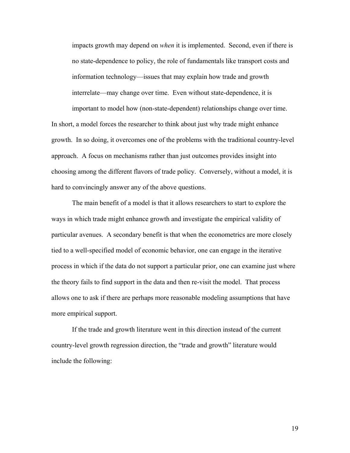impacts growth may depend on *when* it is implemented. Second, even if there is no state-dependence to policy, the role of fundamentals like transport costs and information technology—issues that may explain how trade and growth interrelate—may change over time. Even without state-dependence, it is important to model how (non-state-dependent) relationships change over time.

In short, a model forces the researcher to think about just why trade might enhance growth. In so doing, it overcomes one of the problems with the traditional country-level approach. A focus on mechanisms rather than just outcomes provides insight into choosing among the different flavors of trade policy. Conversely, without a model, it is hard to convincingly answer any of the above questions.

 The main benefit of a model is that it allows researchers to start to explore the ways in which trade might enhance growth and investigate the empirical validity of particular avenues. A secondary benefit is that when the econometrics are more closely tied to a well-specified model of economic behavior, one can engage in the iterative process in which if the data do not support a particular prior, one can examine just where the theory fails to find support in the data and then re-visit the model. That process allows one to ask if there are perhaps more reasonable modeling assumptions that have more empirical support.

 If the trade and growth literature went in this direction instead of the current country-level growth regression direction, the "trade and growth" literature would include the following: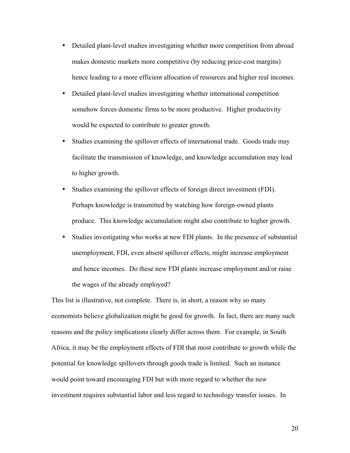- Detailed plant-level studies investigating whether more competition from abroad makes domestic markets more competitive (by reducing price-cost margins) hence leading to a more efficient allocation of resources and higher real incomes.
- Detailed plant-level studies investigating whether international competition somehow forces domestic firms to be more productive. Higher productivity would be expected to contribute to greater growth.
- Studies examining the spillover effects of international trade. Goods trade may facilitate the transmission of knowledge, and knowledge accumulation may lead to higher growth.
- Studies examining the spillover effects of foreign direct investment (FDI). Perhaps knowledge is transmitted by watching how foreign-owned plants produce. This knowledge accumulation might also contribute to higher growth.
- Studies investigating who works at new FDI plants. In the presence of substantial unemployment, FDI, even absent spillover effects, might increase employment and hence incomes. Do these new FDI plants increase employment and/or raise the wages of the already employed?

This list is illustrative, not complete. There is, in short, a reason why so many economists believe globalization might be good for growth. In fact, there are many such reasons and the policy implications clearly differ across them. For example, in South Africa, it may be the employment effects of FDI that most contribute to growth while the potential for knowledge spillovers through goods trade is limited. Such an instance would point toward encouraging FDI but with more regard to whether the new investment requires substantial labor and less regard to technology transfer issues. In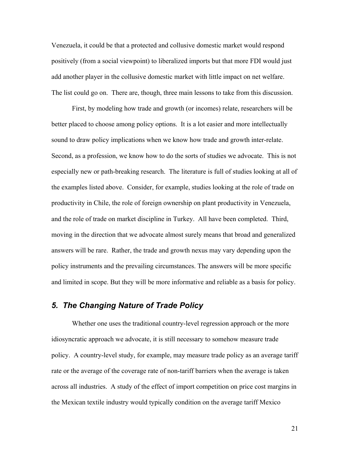Venezuela, it could be that a protected and collusive domestic market would respond positively (from a social viewpoint) to liberalized imports but that more FDI would just add another player in the collusive domestic market with little impact on net welfare. The list could go on. There are, though, three main lessons to take from this discussion.

 First, by modeling how trade and growth (or incomes) relate, researchers will be better placed to choose among policy options. It is a lot easier and more intellectually sound to draw policy implications when we know how trade and growth inter-relate. Second, as a profession, we know how to do the sorts of studies we advocate. This is not especially new or path-breaking research. The literature is full of studies looking at all of the examples listed above. Consider, for example, studies looking at the role of trade on productivity in Chile, the role of foreign ownership on plant productivity in Venezuela, and the role of trade on market discipline in Turkey. All have been completed. Third, moving in the direction that we advocate almost surely means that broad and generalized answers will be rare. Rather, the trade and growth nexus may vary depending upon the policy instruments and the prevailing circumstances. The answers will be more specific and limited in scope. But they will be more informative and reliable as a basis for policy.

# *5. The Changing Nature of Trade Policy*

 Whether one uses the traditional country-level regression approach or the more idiosyncratic approach we advocate, it is still necessary to somehow measure trade policy. A country-level study, for example, may measure trade policy as an average tariff rate or the average of the coverage rate of non-tariff barriers when the average is taken across all industries. A study of the effect of import competition on price cost margins in the Mexican textile industry would typically condition on the average tariff Mexico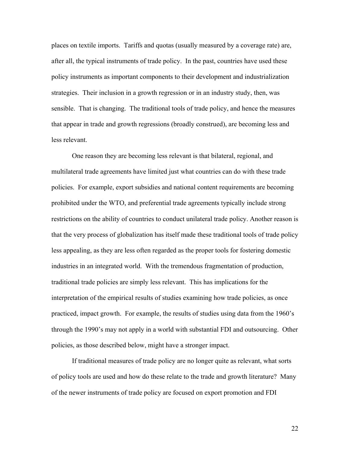places on textile imports. Tariffs and quotas (usually measured by a coverage rate) are, after all, the typical instruments of trade policy. In the past, countries have used these policy instruments as important components to their development and industrialization strategies. Their inclusion in a growth regression or in an industry study, then, was sensible. That is changing. The traditional tools of trade policy, and hence the measures that appear in trade and growth regressions (broadly construed), are becoming less and less relevant.

 One reason they are becoming less relevant is that bilateral, regional, and multilateral trade agreements have limited just what countries can do with these trade policies. For example, export subsidies and national content requirements are becoming prohibited under the WTO, and preferential trade agreements typically include strong restrictions on the ability of countries to conduct unilateral trade policy. Another reason is that the very process of globalization has itself made these traditional tools of trade policy less appealing, as they are less often regarded as the proper tools for fostering domestic industries in an integrated world. With the tremendous fragmentation of production, traditional trade policies are simply less relevant. This has implications for the interpretation of the empirical results of studies examining how trade policies, as once practiced, impact growth. For example, the results of studies using data from the 1960's through the 1990's may not apply in a world with substantial FDI and outsourcing. Other policies, as those described below, might have a stronger impact.

 If traditional measures of trade policy are no longer quite as relevant, what sorts of policy tools are used and how do these relate to the trade and growth literature? Many of the newer instruments of trade policy are focused on export promotion and FDI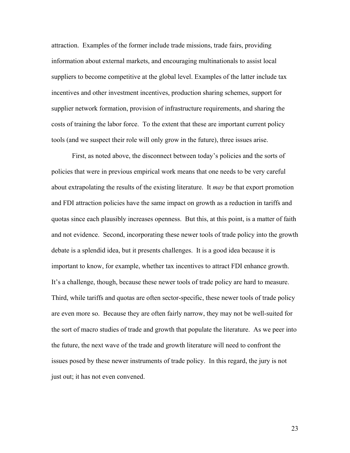attraction. Examples of the former include trade missions, trade fairs, providing information about external markets, and encouraging multinationals to assist local suppliers to become competitive at the global level. Examples of the latter include tax incentives and other investment incentives, production sharing schemes, support for supplier network formation, provision of infrastructure requirements, and sharing the costs of training the labor force. To the extent that these are important current policy tools (and we suspect their role will only grow in the future), three issues arise.

 First, as noted above, the disconnect between today's policies and the sorts of policies that were in previous empirical work means that one needs to be very careful about extrapolating the results of the existing literature. It *may* be that export promotion and FDI attraction policies have the same impact on growth as a reduction in tariffs and quotas since each plausibly increases openness. But this, at this point, is a matter of faith and not evidence. Second, incorporating these newer tools of trade policy into the growth debate is a splendid idea, but it presents challenges. It is a good idea because it is important to know, for example, whether tax incentives to attract FDI enhance growth. It's a challenge, though, because these newer tools of trade policy are hard to measure. Third, while tariffs and quotas are often sector-specific, these newer tools of trade policy are even more so. Because they are often fairly narrow, they may not be well-suited for the sort of macro studies of trade and growth that populate the literature. As we peer into the future, the next wave of the trade and growth literature will need to confront the issues posed by these newer instruments of trade policy. In this regard, the jury is not just out; it has not even convened.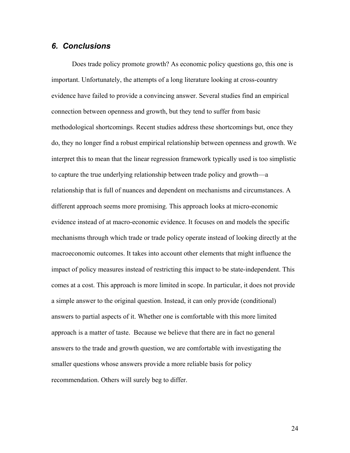# *6. Conclusions*

 Does trade policy promote growth? As economic policy questions go, this one is important. Unfortunately, the attempts of a long literature looking at cross-country evidence have failed to provide a convincing answer. Several studies find an empirical connection between openness and growth, but they tend to suffer from basic methodological shortcomings. Recent studies address these shortcomings but, once they do, they no longer find a robust empirical relationship between openness and growth. We interpret this to mean that the linear regression framework typically used is too simplistic to capture the true underlying relationship between trade policy and growth—a relationship that is full of nuances and dependent on mechanisms and circumstances. A different approach seems more promising. This approach looks at micro-economic evidence instead of at macro-economic evidence. It focuses on and models the specific mechanisms through which trade or trade policy operate instead of looking directly at the macroeconomic outcomes. It takes into account other elements that might influence the impact of policy measures instead of restricting this impact to be state-independent. This comes at a cost. This approach is more limited in scope. In particular, it does not provide a simple answer to the original question. Instead, it can only provide (conditional) answers to partial aspects of it. Whether one is comfortable with this more limited approach is a matter of taste. Because we believe that there are in fact no general answers to the trade and growth question, we are comfortable with investigating the smaller questions whose answers provide a more reliable basis for policy recommendation. Others will surely beg to differ.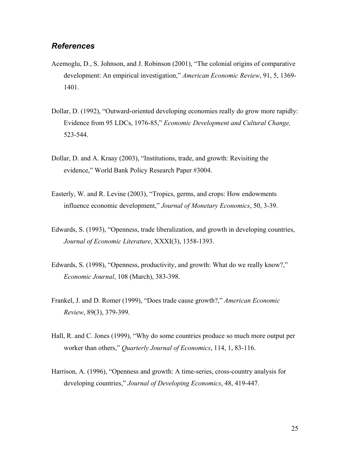# *References*

- Acemoglu, D., S. Johnson, and J. Robinson (2001), "The colonial origins of comparative development: An empirical investigation," *American Economic Review*, 91, 5, 1369- 1401.
- Dollar, D. (1992), "Outward-oriented developing economies really do grow more rapidly: Evidence from 95 LDCs, 1976-85," *Economic Development and Cultural Change,* 523-544.
- Dollar, D. and A. Kraay (2003), "Institutions, trade, and growth: Revisiting the evidence," World Bank Policy Research Paper #3004.
- Easterly, W. and R. Levine (2003), "Tropics, germs, and crops: How endowments influence economic development," *Journal of Monetary Economics*, 50, 3-39.
- Edwards, S. (1993), "Openness, trade liberalization, and growth in developing countries, *Journal of Economic Literature*, XXXI(3), 1358-1393.
- Edwards, S. (1998), "Openness, productivity, and growth: What do we really know?," *Economic Journal*, 108 (March), 383-398.
- Frankel, J. and D. Romer (1999), "Does trade cause growth?," *American Economic Review*, 89(3), 379-399.
- Hall, R. and C. Jones (1999), "Why do some countries produce so much more output per worker than others," *Quarterly Journal of Economics*, 114, 1, 83-116.
- Harrison, A. (1996), "Openness and growth: A time-series, cross-country analysis for developing countries," *Journal of Developing Economics*, 48, 419-447.